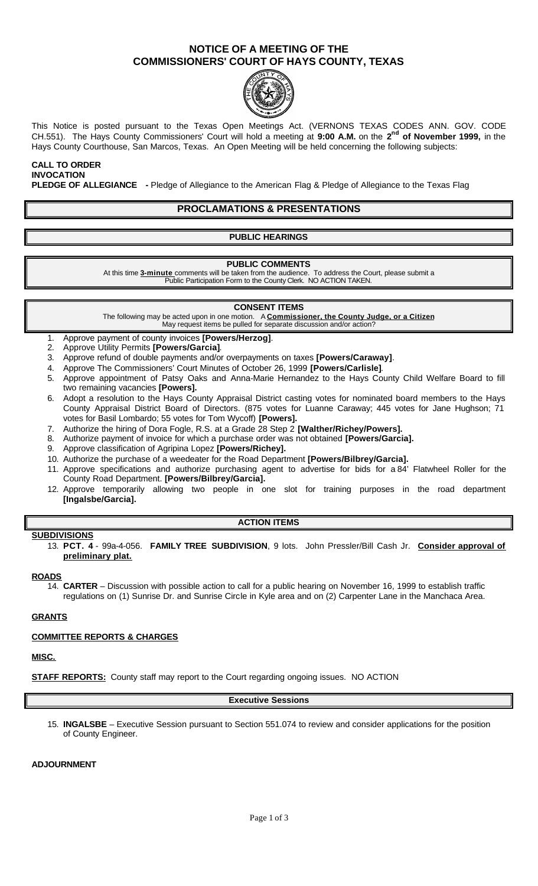## **NOTICE OF A MEETING OF THE COMMISSIONERS' COURT OF HAYS COUNTY, TEXAS**



This Notice is posted pursuant to the Texas Open Meetings Act. (VERNONS TEXAS CODES ANN. GOV. CODE CH.551). The Hays County Commissioners' Court will hold a meeting at **9:00 A.M.** on the **2 nd of November 1999,** in the Hays County Courthouse, San Marcos, Texas. An Open Meeting will be held concerning the following subjects:

**CALL TO ORDER INVOCATION PLEDGE OF ALLEGIANCE -** Pledge of Allegiance to the American Flag & Pledge of Allegiance to the Texas Flag

### **PROCLAMATIONS & PRESENTATIONS**

#### **PUBLIC HEARINGS**

#### **PUBLIC COMMENTS**

At this time **3-minute** comments will be taken from the audience. To address the Court, please submit a Public Participation Form to the County Clerk. NO ACTION TAKEN.

#### **CONSENT ITEMS**

The following may be acted upon in one motion. A **Commissioner, the County Judge, or a Citizen** May request items be pulled for separate discussion and/or action?

- 1. Approve payment of county invoices **[Powers/Herzog]**.
- 2. Approve Utility Permits **[Powers/Garcia]**.
- 3. Approve refund of double payments and/or overpayments on taxes **[Powers/Caraway]**.
- 4. Approve The Commissioners' Court Minutes of October 26, 1999 **[Powers/Carlisle]**.
- 5. Approve appointment of Patsy Oaks and Anna-Marie Hernandez to the Hays County Child Welfare Board to fill two remaining vacancies **[Powers].**
- 6. Adopt a resolution to the Hays County Appraisal District casting votes for nominated board members to the Hays County Appraisal District Board of Directors. (875 votes for Luanne Caraway; 445 votes for Jane Hughson; 71 votes for Basil Lombardo; 55 votes for Tom Wycoff) **[Powers].**
- 7. Authorize the hiring of Dora Fogle, R.S. at a Grade 28 Step 2 **[Walther/Richey/Powers].**
- 8. Authorize payment of invoice for which a purchase order was not obtained **[Powers/Garcia].**
- 9. Approve classification of Agripina Lopez **[Powers/Richey].**
- 10. Authorize the purchase of a weedeater for the Road Department **[Powers/Bilbrey/Garcia].**
- 11. Approve specifications and authorize purchasing agent to advertise for bids for a 84' Flatwheel Roller for the County Road Department. **[Powers/Bilbrey/Garcia].**
- 12. Approve temporarily allowing two people in one slot for training purposes in the road department **[Ingalsbe/Garcia].**

#### **ACTION ITEMS**

#### **SUBDIVISIONS**

13. **PCT. 4** - 99a-4-056. **FAMILY TREE SUBDIVISION**, 9 lots. John Pressler/Bill Cash Jr. **Consider approval of preliminary plat.**

#### **ROADS**

14. **CARTER** – Discussion with possible action to call for a public hearing on November 16, 1999 to establish traffic regulations on (1) Sunrise Dr. and Sunrise Circle in Kyle area and on (2) Carpenter Lane in the Manchaca Area.

#### **GRANTS**

#### **COMMITTEE REPORTS & CHARGES**

#### **MISC.**

**STAFF REPORTS:** County staff may report to the Court regarding ongoing issues. NO ACTION

#### **Executive Sessions**

15. **INGALSBE** – Executive Session pursuant to Section 551.074 to review and consider applications for the position of County Engineer.

#### **ADJOURNMENT**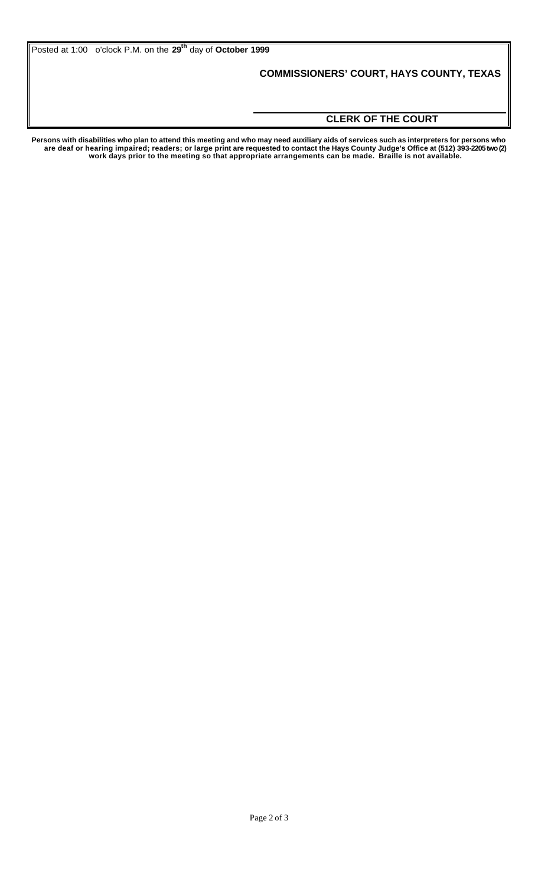Posted at 1:00 o'clock P.M. on the **29th** day of **October 1999**

## **COMMISSIONERS' COURT, HAYS COUNTY, TEXAS**

## **CLERK OF THE COURT**

**Persons with disabilities who plan to attend this meeting and who may need auxiliary aids of services such as interpreters for persons who are deaf or hearing impaired; readers; or large print are requested to contact the Hays County Judge's Office at (512) 393-2205 two (2) work days prior to the meeting so that appropriate arrangements can be made. Braille is not available.**